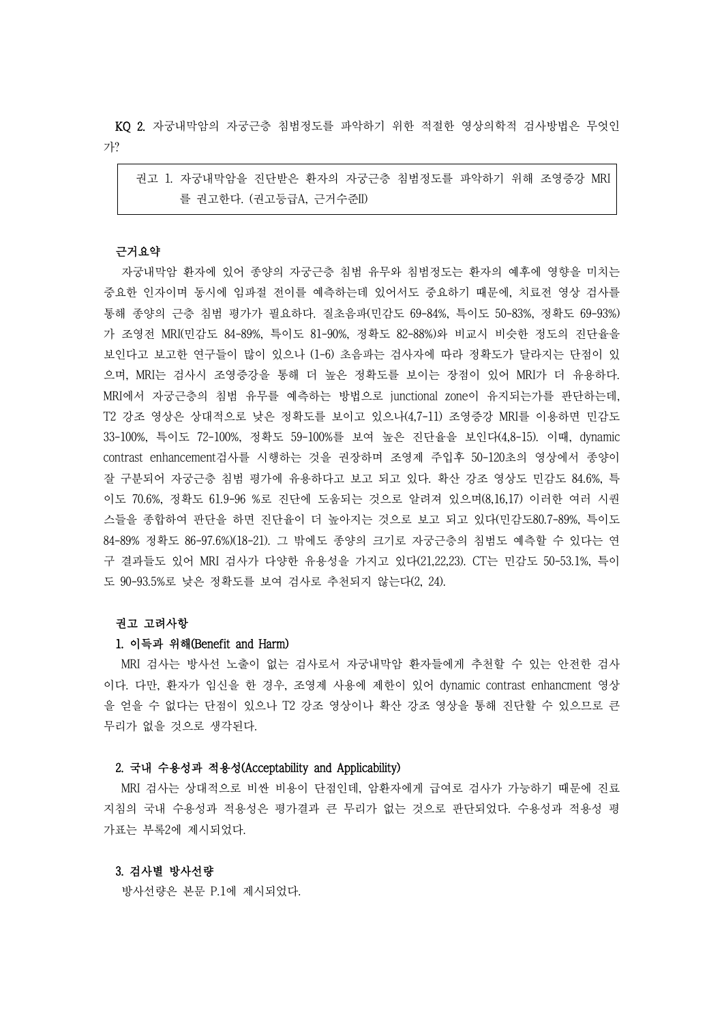KQ 2. 자궁내막암의 자궁근층 침범정도를 파악하기 위한 적절한 영상의학적 검사방법은 무엇인 가?

권고 1. 자궁내막암을 진단받은 환자의 자궁근층 침범정도를 파악하기 위해 조영증강 MRI 를 권고한다. (권고등급A, 근거수준II) 근거요약

자궁내막암 환자에 있어 종양의 자궁근층 침범 유무와 침범정도는 환자의 예후에 영향을 미치는 중요한 인자이며 동시에 임파절 전이를 예측하는데 있어서도 중요하기 때문에, 치료전 영상 검사를 통해 종양의 근층 침범 평가가 필요하다. 질초음파(민감도 69-84%, 특이도 50-83%, 정확도 69-93%) 가 조영전 MRI(민감도 84-89%, 특이도 81-90%, 정확도 82-88%)와 비교시 비슷한 정도의 진단율을 보인다고 보고한 연구들이 많이 있으나 (1-6) 초음파는 검사자에 따라 정확도가 달라지는 단점이 있 으며, MRI는 검사시 조영증강을 통해 더 높은 정확도를 보이는 장점이 있어 MRI가 더 유용하다.<br>MRI에서 자궁근층의 침범 유무를 예측하는 방법으로 junctional zone이 유지되는가를 판단하는데,<br>T2 강조 영상은 상대적으로 낮은 정확도를 보이고 있으나(4,7-11) 조영증강 MRI를 이용하면 민감도 33-100%, 특이도 72-100%, 정확도 59-100%를 보여 높은 진단율을 보인다(4,8-15). 이때, dynamic contrast enhancement검사를 시행하는 것을 권장하며 조영제 주입후 50-120초의 영상에서 종양이 잘 구분되어 자궁근층 침범 평가에 유용하다고 보고 되고 있다. 확산 강조 영상도 민감도 84.6%, 특 이도 70.6%, 정확도 61.9-96 %로 진단에 도움되는 것으로 알려져 있으며(8,16,17) 이러한 여러 시퀀 스들을 종합하여 판단을 하면 진단율이 더 높아지는 것으로 보고 되고 있다(민감도80.7-89%, 특이도 84-89% 정확도 86-97.6%)(18-21). 그 밖에도 종양의 크기로 자궁근층의 침범도 예측할 수 있다는 연 구 결과들도 있어 MRI 검사가 다양한 유용성을 가지고 있다(21,22,23). CT는 민감도 50-53.1%, 특이 도 90-93.5%로 낮은 정확도를 보여 검사로 추천되지 않는다(2, 24).

# 권고 고려사항

#### 1. 이득과 위해(Benefit and Harm)

MRI 검사는 방사선 노출이 없는 검사로서 자궁내막암 환자들에게 추천할 수 있는 안전한 검사 이다. 다만, 환자가 임신을 한 경우, 조영제 사용에 제한이 있어 dynamic contrast enhancment 영상 을 얻을 수 없다는 단점이 있으나 T2 강조 영상이나 확산 강조 영상을 통해 진단할 수 있으므로 큰 무리가 없을 것으로 생각된다.

## 2. 국내 수용성과 적용성(Acceptability and Applicability)

MRI 검사는 상대적으로 비싼 비용이 단점인데, 암환자에게 급여로 검사가 가능하기 때문에 진료 지침의 국내 수용성과 적용성은 평가결과 큰 무리가 없는 것으로 판단되었다. 수용성과 적용성 평 가표는 부록2에 제시되었다.

### 3. 검사별 방사선량

방사선량은 본문 P.1에 제시되었다.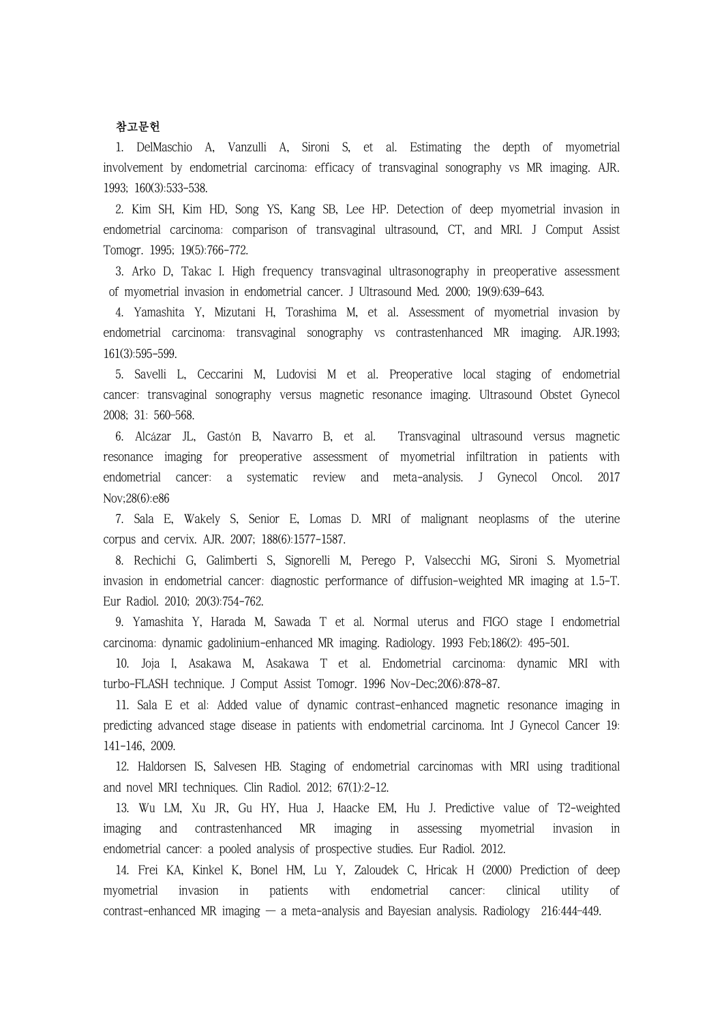# 참고문헌

1. DelMaschio A, Vanzulli A, Sironi S, et al. Estimating the depth of myometrial involvement by endometrial carcinoma: efficacy of transvaginal sonography vs MR imaging. AJR. 1993; 160(3):533-538.

2. Kim SH, Kim HD, Song YS, Kang SB, Lee HP. Detection of deep myometrial invasion in endometrial carcinoma: comparison of transvaginal ultrasound, CT, and MRI. J Comput Assist Tomogr. 1995; 19(5):766-772.

3. Arko D, Takac I. High frequency transvaginal ultrasonography in preoperative assessment of myometrial invasion in endometrial cancer. J Ultrasound Med. 2000; 19(9):639-643.

4. Yamashita Y, Mizutani H, Torashima M, et al. Assessment of myometrial invasion by endometrial carcinoma: transvaginal sonography vs contrastenhanced MR imaging. AJR.1993; 161(3):595-599.

5. Savelli L, Ceccarini M, Ludovisi M et al. Preoperative local staging of endometrial cancer: transvaginal sonography versus magnetic resonance imaging. Ultrasound Obstet Gynecol 2008; 31: 560–568.

6. Alcázar JL, Gastón B, Navarro B, et al. Transvaginal ultrasound versus magnetic resonance imaging for preoperative assessment of myometrial infiltration in patients with endometrial cancer: a systematic review and meta-analysis. J Gynecol Oncol. 2017 Nov;28(6):e86

7. Sala E, Wakely S, Senior E, Lomas D. MRI of malignant neoplasms of the uterine corpus and cervix. AJR. 2007; 188(6):1577-1587.

8. Rechichi G, Galimberti S, Signorelli M, Perego P, Valsecchi MG, Sironi S. Myometrial invasion in endometrial cancer: diagnostic performance of diffusion-weighted MR imaging at 1.5-T. Eur Radiol. 2010; 20(3):754-762.

9. Yamashita Y, Harada M, Sawada T et al. Normal uterus and FIGO stage I endometrial carcinoma: dynamic gadolinium-enhanced MR imaging. Radiology. 1993 Feb;186(2): 495-501.

10. Joja I, Asakawa M, Asakawa T et al. Endometrial carcinoma: dynamic MRI with turbo-FLASH technique. J Comput Assist Tomogr. 1996 Nov-Dec;20(6):878-87.

11. Sala E et al: Added value of dynamic contrast-enhanced magnetic resonance imaging in predicting advanced stage disease in patients with endometrial carcinoma. Int J Gynecol Cancer 19: 141-146, 2009.

12. Haldorsen IS, Salvesen HB. Staging of endometrial carcinomas with MRI using traditional and novel MRI techniques. Clin Radiol. 2012; 67(1):2-12.

13. Wu LM, Xu JR, Gu HY, Hua J, Haacke EM, Hu J. Predictive value of T2-weighted imaging and contrastenhanced MR imaging in assessing myometrial invasion in endometrial cancer: a pooled analysis of prospective studies. Eur Radiol. 2012.

14. Frei KA, Kinkel K, Bonel HM, Lu Y, Zaloudek C, Hricak H (2000) Prediction of deep myometrial invasion in patients with endometrial cancer: clinical utility of contrast-enhanced MR imaging — a meta-analysis and Bayesian analysis. Radiology 216:444–449.